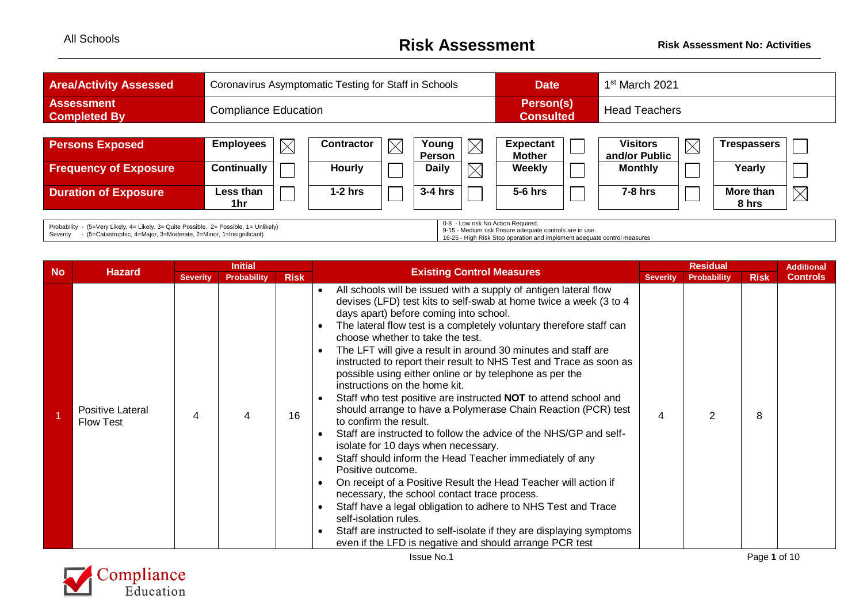## All Schools **Risk Assessment Risk Assessment No: Activities**

| <b>Area/Activity Assessed</b>                                                                                                                                                                                                                                    |                    | Coronavirus Asymptomatic Testing for Staff in Schools |                   |             |                        |             |                                   | 1 <sup>st</sup> March 2021<br><b>Date</b> |                                  |             |                    |             |
|------------------------------------------------------------------------------------------------------------------------------------------------------------------------------------------------------------------------------------------------------------------|--------------------|-------------------------------------------------------|-------------------|-------------|------------------------|-------------|-----------------------------------|-------------------------------------------|----------------------------------|-------------|--------------------|-------------|
| <b>Assessment</b><br><b>Completed By</b>                                                                                                                                                                                                                         |                    | <b>Compliance Education</b>                           |                   |             |                        |             | Person(s)<br><b>Consulted</b>     |                                           | <b>Head Teachers</b>             |             |                    |             |
|                                                                                                                                                                                                                                                                  |                    |                                                       |                   |             |                        |             |                                   |                                           |                                  |             |                    |             |
| <b>Persons Exposed</b>                                                                                                                                                                                                                                           | <b>Employees</b>   |                                                       | <b>Contractor</b> | $\boxtimes$ | Young<br><b>Person</b> | $\boxtimes$ | <b>Expectant</b><br><b>Mother</b> |                                           | <b>Visitors</b><br>and/or Public | $\boxtimes$ | <b>Trespassers</b> |             |
| <b>Frequency of Exposure</b>                                                                                                                                                                                                                                     | <b>Continually</b> |                                                       | <b>Hourly</b>     |             | <b>Daily</b>           | $\times$    | Weekly                            |                                           | <b>Monthly</b>                   |             | Yearly             |             |
| <b>Duration of Exposure</b>                                                                                                                                                                                                                                      | Less than<br>1hr   |                                                       | $1-2$ hrs         |             | $3-4$ hrs              |             | $5-6$ hrs                         |                                           | $7-8$ hrs                        |             | More than<br>8 hrs | $\boxtimes$ |
| 0-8 - Low risk No Action Required.<br>Probability - (5=Very Likely, 4= Likely, 3= Quite Possible, 2= Possible, 1= Unlikely)<br>9-15 - Medium risk Ensure adequate controls are in use.<br>Cornello - (E Cotontenable 4 Mains 9 Madagasta 9 Mines 4 Incinational) |                    |                                                       |                   |             |                        |             |                                   |                                           |                                  |             |                    |             |

Severity - (5=Catastrophic, 4=Major, 3=Moderate, 2=Minor, 1=Insign

9-15 - Medium risk Ensure adequate controls are in use. 16-25 - High Risk Stop operation and implement adequate control measures

|           |                                             | <b>Initial</b>  |                    |             |                                                               | <b>Existing Control Measures</b>                                                                                                                                                                                                                                                                                                                                                                                                                                                                                                                                                                                                                                                                                                                                                                                                                                                                                                                                                                                                                                                                                                                                                                                                               |   | <b>Residual</b>    |             |                 |
|-----------|---------------------------------------------|-----------------|--------------------|-------------|---------------------------------------------------------------|------------------------------------------------------------------------------------------------------------------------------------------------------------------------------------------------------------------------------------------------------------------------------------------------------------------------------------------------------------------------------------------------------------------------------------------------------------------------------------------------------------------------------------------------------------------------------------------------------------------------------------------------------------------------------------------------------------------------------------------------------------------------------------------------------------------------------------------------------------------------------------------------------------------------------------------------------------------------------------------------------------------------------------------------------------------------------------------------------------------------------------------------------------------------------------------------------------------------------------------------|---|--------------------|-------------|-----------------|
| <b>No</b> | <b>Hazard</b>                               | <b>Severity</b> | <b>Probability</b> | <b>Risk</b> |                                                               |                                                                                                                                                                                                                                                                                                                                                                                                                                                                                                                                                                                                                                                                                                                                                                                                                                                                                                                                                                                                                                                                                                                                                                                                                                                |   | <b>Probability</b> | <b>Risk</b> | <b>Controls</b> |
|           | <b>Positive Lateral</b><br><b>Flow Test</b> | 4               | 4                  | 16          | $\bullet$<br>$\bullet$<br>$\bullet$<br>$\bullet$<br>$\bullet$ | All schools will be issued with a supply of antigen lateral flow<br>devises (LFD) test kits to self-swab at home twice a week (3 to 4<br>days apart) before coming into school.<br>The lateral flow test is a completely voluntary therefore staff can<br>choose whether to take the test.<br>The LFT will give a result in around 30 minutes and staff are<br>instructed to report their result to NHS Test and Trace as soon as<br>possible using either online or by telephone as per the<br>instructions on the home kit.<br>Staff who test positive are instructed <b>NOT</b> to attend school and<br>should arrange to have a Polymerase Chain Reaction (PCR) test<br>to confirm the result.<br>Staff are instructed to follow the advice of the NHS/GP and self-<br>isolate for 10 days when necessary.<br>Staff should inform the Head Teacher immediately of any<br>Positive outcome.<br>On receipt of a Positive Result the Head Teacher will action if<br>necessary, the school contact trace process.<br>Staff have a legal obligation to adhere to NHS Test and Trace<br>self-isolation rules.<br>Staff are instructed to self-isolate if they are displaying symptoms<br>even if the LFD is negative and should arrange PCR test | 4 | 2                  | 8           |                 |

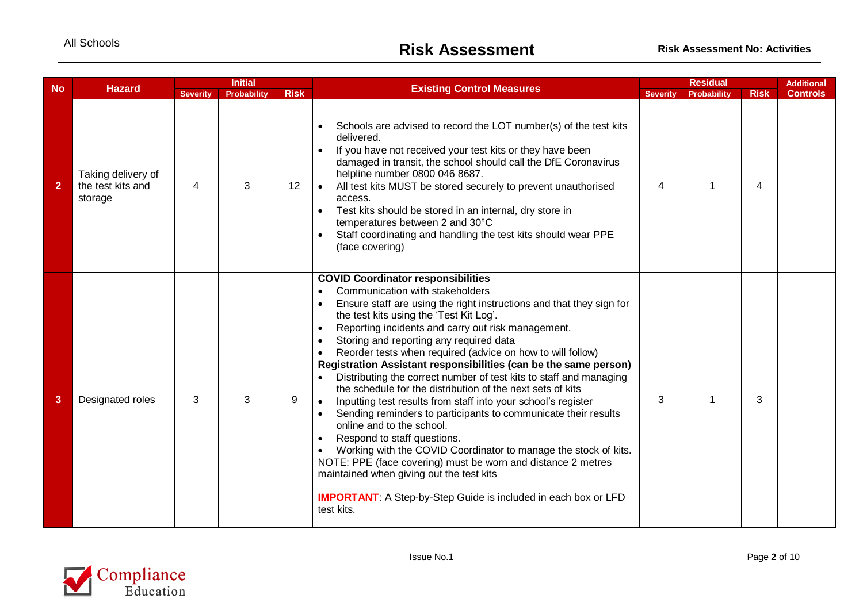| <b>No</b>      | <b>Hazard</b>                                      | <b>Severity</b> | <b>Initial</b><br><b>Probability</b> | <b>Risk</b> | <b>Existing Control Measures</b>                                                                                                                                                                                                                                                                                                                                                                                                                                                                                                                                                                                                                                                                                                                                                                                                                                                                                                                                                                                                                         | <b>Severity</b> | <b>Residual</b><br><b>Probability</b> | <b>Risk</b> | <b>Additional</b><br><b>Controls</b> |
|----------------|----------------------------------------------------|-----------------|--------------------------------------|-------------|----------------------------------------------------------------------------------------------------------------------------------------------------------------------------------------------------------------------------------------------------------------------------------------------------------------------------------------------------------------------------------------------------------------------------------------------------------------------------------------------------------------------------------------------------------------------------------------------------------------------------------------------------------------------------------------------------------------------------------------------------------------------------------------------------------------------------------------------------------------------------------------------------------------------------------------------------------------------------------------------------------------------------------------------------------|-----------------|---------------------------------------|-------------|--------------------------------------|
| $\overline{2}$ | Taking delivery of<br>the test kits and<br>storage | 4               | 3                                    | 12          | Schools are advised to record the LOT number(s) of the test kits<br>delivered.<br>If you have not received your test kits or they have been<br>damaged in transit, the school should call the DfE Coronavirus<br>helpline number 0800 046 8687.<br>All test kits MUST be stored securely to prevent unauthorised<br>access.<br>Test kits should be stored in an internal, dry store in<br>temperatures between 2 and 30°C<br>Staff coordinating and handling the test kits should wear PPE<br>(face covering)                                                                                                                                                                                                                                                                                                                                                                                                                                                                                                                                            | $\overline{4}$  | $\overline{ }$                        | 4           |                                      |
| 3              | Designated roles                                   | 3               | 3                                    | 9           | <b>COVID Coordinator responsibilities</b><br>Communication with stakeholders<br>Ensure staff are using the right instructions and that they sign for<br>the test kits using the 'Test Kit Log'.<br>Reporting incidents and carry out risk management.<br>Storing and reporting any required data<br>Reorder tests when required (advice on how to will follow)<br>Registration Assistant responsibilities (can be the same person)<br>Distributing the correct number of test kits to staff and managing<br>the schedule for the distribution of the next sets of kits<br>Inputting test results from staff into your school's register<br>Sending reminders to participants to communicate their results<br>$\bullet$<br>online and to the school.<br>Respond to staff questions.<br>Working with the COVID Coordinator to manage the stock of kits.<br>NOTE: PPE (face covering) must be worn and distance 2 metres<br>maintained when giving out the test kits<br><b>IMPORTANT:</b> A Step-by-Step Guide is included in each box or LFD<br>test kits. | 3               | 1                                     | 3           |                                      |

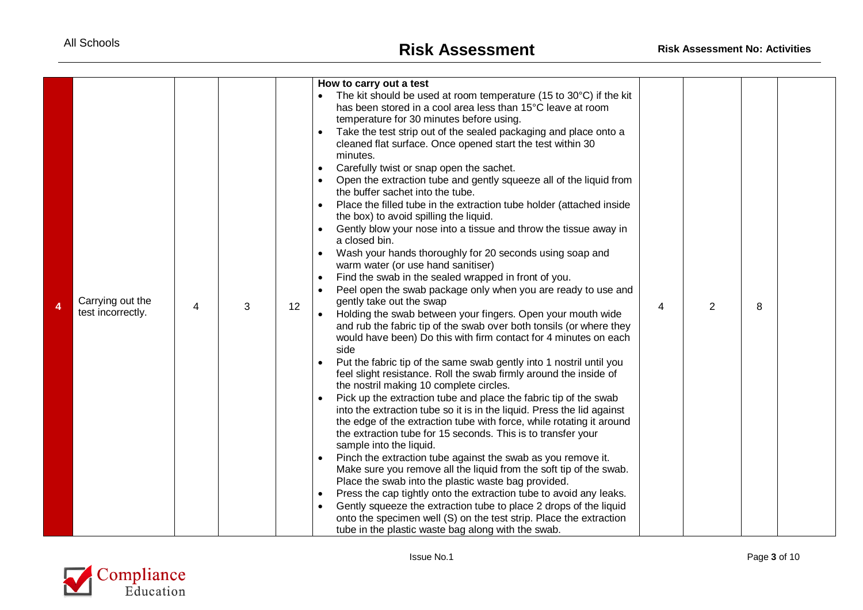|   |                   |   |   |         | How to carry out a test                                                                                                                        |   |                |   |  |
|---|-------------------|---|---|---------|------------------------------------------------------------------------------------------------------------------------------------------------|---|----------------|---|--|
|   |                   |   |   |         | • The kit should be used at room temperature (15 to $30^{\circ}$ C) if the kit                                                                 |   |                |   |  |
|   |                   |   |   |         | has been stored in a cool area less than 15°C leave at room                                                                                    |   |                |   |  |
|   |                   |   |   |         | temperature for 30 minutes before using.                                                                                                       |   |                |   |  |
|   |                   |   |   |         | Take the test strip out of the sealed packaging and place onto a                                                                               |   |                |   |  |
|   |                   |   |   |         | cleaned flat surface. Once opened start the test within 30<br>minutes.                                                                         |   |                |   |  |
|   |                   |   |   |         | Carefully twist or snap open the sachet.                                                                                                       |   |                |   |  |
|   |                   |   |   |         | Open the extraction tube and gently squeeze all of the liquid from                                                                             |   |                |   |  |
|   |                   |   |   |         | the buffer sachet into the tube.                                                                                                               |   |                |   |  |
|   |                   |   |   |         | Place the filled tube in the extraction tube holder (attached inside                                                                           |   |                |   |  |
|   |                   |   |   |         | the box) to avoid spilling the liquid.                                                                                                         |   |                |   |  |
|   |                   |   |   |         | Gently blow your nose into a tissue and throw the tissue away in                                                                               |   |                |   |  |
|   |                   |   |   |         | a closed bin.                                                                                                                                  |   |                |   |  |
|   |                   |   |   |         | Wash your hands thoroughly for 20 seconds using soap and                                                                                       |   |                |   |  |
|   |                   |   |   |         | warm water (or use hand sanitiser)                                                                                                             |   |                |   |  |
|   |                   |   |   |         | Find the swab in the sealed wrapped in front of you.                                                                                           |   |                |   |  |
|   | Carrying out the  |   |   |         | Peel open the swab package only when you are ready to use and<br>gently take out the swap                                                      |   |                |   |  |
| 4 | test incorrectly. | 4 | 3 | $12 \,$ | Holding the swab between your fingers. Open your mouth wide                                                                                    | 4 | $\overline{2}$ | 8 |  |
|   |                   |   |   |         | and rub the fabric tip of the swab over both tonsils (or where they                                                                            |   |                |   |  |
|   |                   |   |   |         | would have been) Do this with firm contact for 4 minutes on each                                                                               |   |                |   |  |
|   |                   |   |   |         | side                                                                                                                                           |   |                |   |  |
|   |                   |   |   |         | Put the fabric tip of the same swab gently into 1 nostril until you                                                                            |   |                |   |  |
|   |                   |   |   |         | feel slight resistance. Roll the swab firmly around the inside of                                                                              |   |                |   |  |
|   |                   |   |   |         | the nostril making 10 complete circles.                                                                                                        |   |                |   |  |
|   |                   |   |   |         | Pick up the extraction tube and place the fabric tip of the swab                                                                               |   |                |   |  |
|   |                   |   |   |         | into the extraction tube so it is in the liquid. Press the lid against<br>the edge of the extraction tube with force, while rotating it around |   |                |   |  |
|   |                   |   |   |         | the extraction tube for 15 seconds. This is to transfer your                                                                                   |   |                |   |  |
|   |                   |   |   |         | sample into the liquid.                                                                                                                        |   |                |   |  |
|   |                   |   |   |         | Pinch the extraction tube against the swab as you remove it.                                                                                   |   |                |   |  |
|   |                   |   |   |         | Make sure you remove all the liquid from the soft tip of the swab.                                                                             |   |                |   |  |
|   |                   |   |   |         | Place the swab into the plastic waste bag provided.                                                                                            |   |                |   |  |
|   |                   |   |   |         | Press the cap tightly onto the extraction tube to avoid any leaks.                                                                             |   |                |   |  |
|   |                   |   |   |         | Gently squeeze the extraction tube to place 2 drops of the liquid                                                                              |   |                |   |  |
|   |                   |   |   |         | onto the specimen well (S) on the test strip. Place the extraction                                                                             |   |                |   |  |
|   |                   |   |   |         | tube in the plastic waste bag along with the swab.                                                                                             |   |                |   |  |

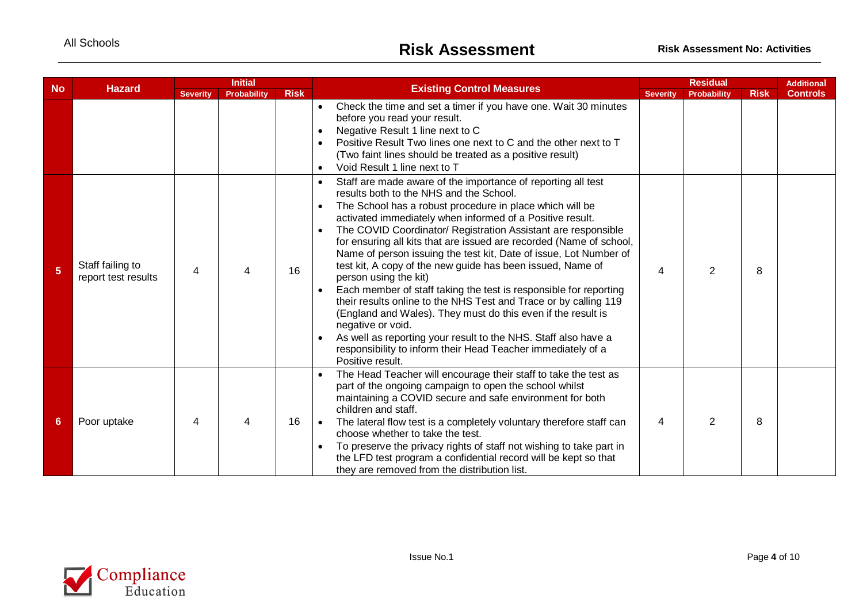| <b>No</b>      |                                         | <b>Initial</b>  |                    |             | <b>Existing Control Measures</b>                                                                                                                                                                                                                                                                                                                                                                                                                                                                                                                                                                                                                                                                                                                                                                                                                                                                                                      |   | <b>Residual</b><br><b>Severity</b> |             |                 |  |
|----------------|-----------------------------------------|-----------------|--------------------|-------------|---------------------------------------------------------------------------------------------------------------------------------------------------------------------------------------------------------------------------------------------------------------------------------------------------------------------------------------------------------------------------------------------------------------------------------------------------------------------------------------------------------------------------------------------------------------------------------------------------------------------------------------------------------------------------------------------------------------------------------------------------------------------------------------------------------------------------------------------------------------------------------------------------------------------------------------|---|------------------------------------|-------------|-----------------|--|
|                | <b>Hazard</b>                           | <b>Severity</b> | <b>Probability</b> | <b>Risk</b> |                                                                                                                                                                                                                                                                                                                                                                                                                                                                                                                                                                                                                                                                                                                                                                                                                                                                                                                                       |   | <b>Probability</b>                 | <b>Risk</b> | <b>Controls</b> |  |
|                |                                         |                 |                    |             | Check the time and set a timer if you have one. Wait 30 minutes<br>$\bullet$<br>before you read your result.<br>Negative Result 1 line next to C<br>$\bullet$<br>Positive Result Two lines one next to C and the other next to T<br>(Two faint lines should be treated as a positive result)<br>Void Result 1 line next to T                                                                                                                                                                                                                                                                                                                                                                                                                                                                                                                                                                                                          |   |                                    |             |                 |  |
| 5 <sup>5</sup> | Staff failing to<br>report test results | 4               |                    | 16          | Staff are made aware of the importance of reporting all test<br>results both to the NHS and the School.<br>The School has a robust procedure in place which will be<br>$\bullet$<br>activated immediately when informed of a Positive result.<br>The COVID Coordinator/ Registration Assistant are responsible<br>for ensuring all kits that are issued are recorded (Name of school,<br>Name of person issuing the test kit, Date of issue, Lot Number of<br>test kit, A copy of the new guide has been issued, Name of<br>person using the kit)<br>Each member of staff taking the test is responsible for reporting<br>their results online to the NHS Test and Trace or by calling 119<br>(England and Wales). They must do this even if the result is<br>negative or void.<br>As well as reporting your result to the NHS. Staff also have a<br>responsibility to inform their Head Teacher immediately of a<br>Positive result. | 4 | $\mathcal{P}$                      | 8           |                 |  |
| 6              | Poor uptake                             | 4               | ⊿                  | 16          | The Head Teacher will encourage their staff to take the test as<br>part of the ongoing campaign to open the school whilst<br>maintaining a COVID secure and safe environment for both<br>children and staff.<br>The lateral flow test is a completely voluntary therefore staff can<br>choose whether to take the test.<br>To preserve the privacy rights of staff not wishing to take part in<br>the LFD test program a confidential record will be kept so that<br>they are removed from the distribution list.                                                                                                                                                                                                                                                                                                                                                                                                                     | 4 | $\overline{2}$                     | 8           |                 |  |

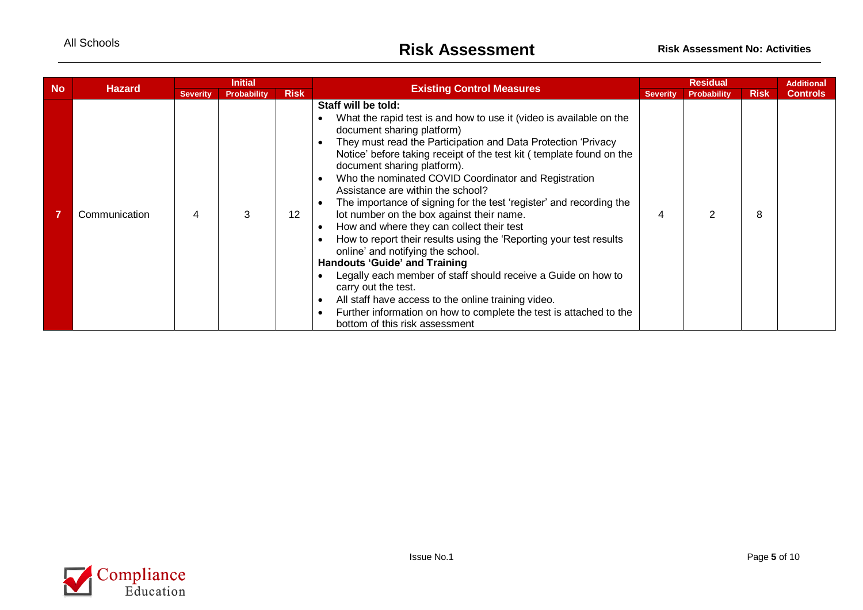|           |               | <b>Initial</b><br><b>Existing Control Measures</b><br><b>Hazard</b> |                                   |                 |                                                                                                                                                                                                                                                                                                                                                                                                                                                                                                                                                                                                                                                                                                                                                                                                                                                                                                                                                                                       |   |                    | <b>Residual</b> |                 |  | <b>Additional</b> |
|-----------|---------------|---------------------------------------------------------------------|-----------------------------------|-----------------|---------------------------------------------------------------------------------------------------------------------------------------------------------------------------------------------------------------------------------------------------------------------------------------------------------------------------------------------------------------------------------------------------------------------------------------------------------------------------------------------------------------------------------------------------------------------------------------------------------------------------------------------------------------------------------------------------------------------------------------------------------------------------------------------------------------------------------------------------------------------------------------------------------------------------------------------------------------------------------------|---|--------------------|-----------------|-----------------|--|-------------------|
| <b>No</b> |               | <b>Severity</b>                                                     | <b>Risk</b><br><b>Probability</b> |                 |                                                                                                                                                                                                                                                                                                                                                                                                                                                                                                                                                                                                                                                                                                                                                                                                                                                                                                                                                                                       |   | <b>Probability</b> | <b>Risk</b>     | <b>Controls</b> |  |                   |
|           | Communication | 4                                                                   | 3                                 | 12 <sup>°</sup> | Staff will be told:<br>What the rapid test is and how to use it (video is available on the<br>document sharing platform)<br>They must read the Participation and Data Protection 'Privacy<br>Notice' before taking receipt of the test kit (template found on the<br>document sharing platform).<br>Who the nominated COVID Coordinator and Registration<br>$\bullet$<br>Assistance are within the school?<br>The importance of signing for the test 'register' and recording the<br>lot number on the box against their name.<br>How and where they can collect their test<br>How to report their results using the 'Reporting your test results<br>online' and notifying the school.<br><b>Handouts 'Guide' and Training</b><br>Legally each member of staff should receive a Guide on how to<br>carry out the test.<br>All staff have access to the online training video.<br>Further information on how to complete the test is attached to the<br>bottom of this risk assessment | 4 |                    | 8               |                 |  |                   |

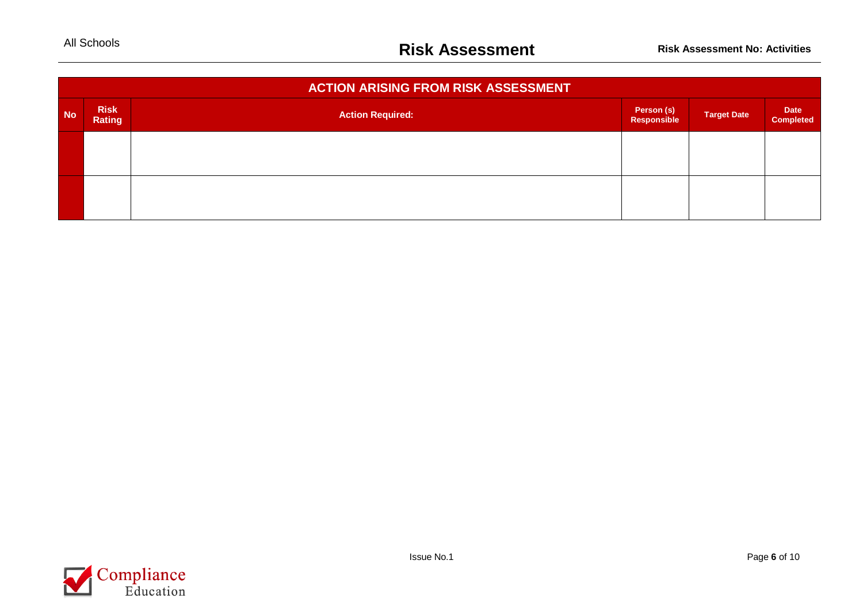|           | <b>ACTION ARISING FROM RISK ASSESSMENT</b> |                         |                           |                    |                                 |  |  |  |  |  |  |  |  |  |
|-----------|--------------------------------------------|-------------------------|---------------------------|--------------------|---------------------------------|--|--|--|--|--|--|--|--|--|
| <b>No</b> | <b>Risk</b><br>Rating                      | <b>Action Required:</b> | Person (s)<br>Responsible | <b>Target Date</b> | <b>Date</b><br><b>Completed</b> |  |  |  |  |  |  |  |  |  |
|           |                                            |                         |                           |                    |                                 |  |  |  |  |  |  |  |  |  |
|           |                                            |                         |                           |                    |                                 |  |  |  |  |  |  |  |  |  |

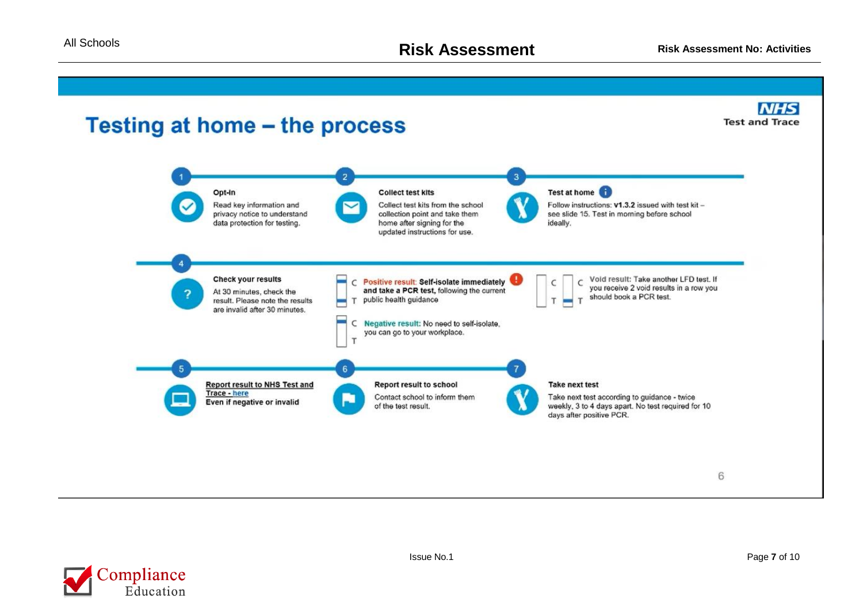

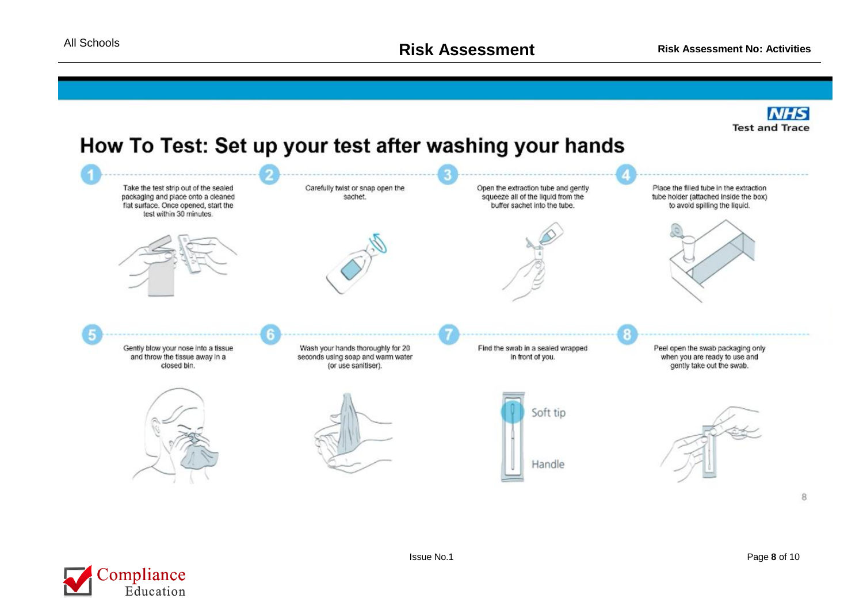

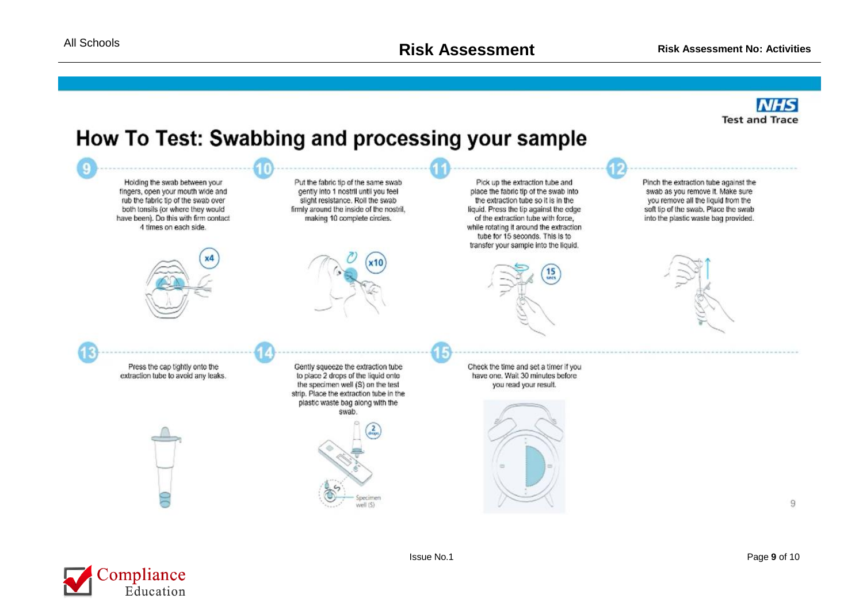